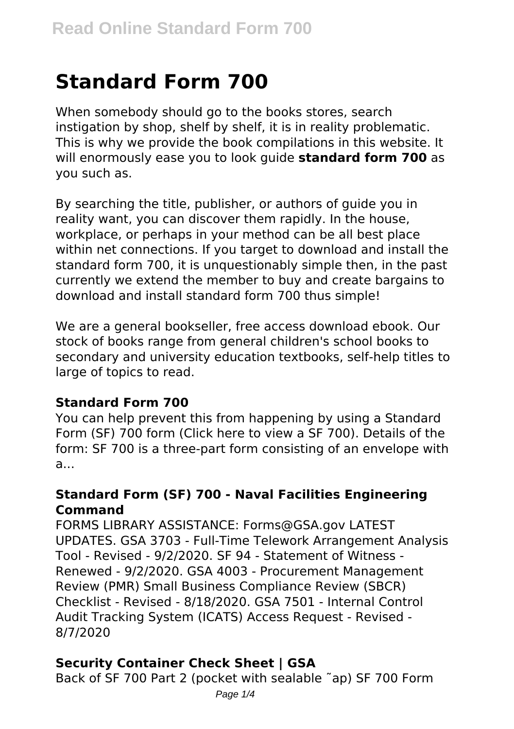# **Standard Form 700**

When somebody should go to the books stores, search instigation by shop, shelf by shelf, it is in reality problematic. This is why we provide the book compilations in this website. It will enormously ease you to look guide **standard form 700** as you such as.

By searching the title, publisher, or authors of guide you in reality want, you can discover them rapidly. In the house, workplace, or perhaps in your method can be all best place within net connections. If you target to download and install the standard form 700, it is unquestionably simple then, in the past currently we extend the member to buy and create bargains to download and install standard form 700 thus simple!

We are a general bookseller, free access download ebook. Our stock of books range from general children's school books to secondary and university education textbooks, self-help titles to large of topics to read.

## **Standard Form 700**

You can help prevent this from happening by using a Standard Form (SF) 700 form (Click here to view a SF 700). Details of the form: SF 700 is a three-part form consisting of an envelope with a...

#### **Standard Form (SF) 700 - Naval Facilities Engineering Command**

FORMS LIBRARY ASSISTANCE: Forms@GSA.gov LATEST UPDATES. GSA 3703 - Full-Time Telework Arrangement Analysis Tool - Revised - 9/2/2020. SF 94 - Statement of Witness - Renewed - 9/2/2020. GSA 4003 - Procurement Management Review (PMR) Small Business Compliance Review (SBCR) Checklist - Revised - 8/18/2020. GSA 7501 - Internal Control Audit Tracking System (ICATS) Access Request - Revised - 8/7/2020

## **Security Container Check Sheet | GSA**

Back of SF 700 Part 2 (pocket with sealable ˜ap) SF 700 Form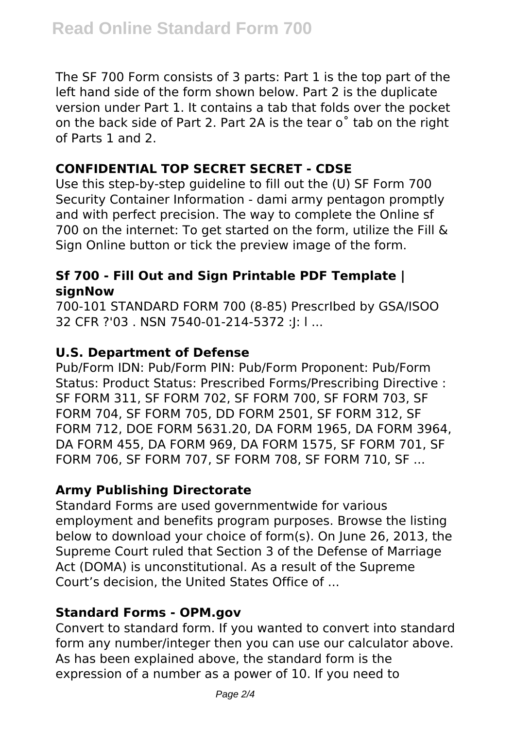The SF 700 Form consists of 3 parts: Part 1 is the top part of the left hand side of the form shown below. Part 2 is the duplicate version under Part 1. It contains a tab that folds over the pocket on the back side of Part 2. Part 2A is the tear o˚ tab on the right of Parts 1 and 2.

## **CONFIDENTIAL TOP SECRET SECRET - CDSE**

Use this step-by-step guideline to fill out the (U) SF Form 700 Security Container Information - dami army pentagon promptly and with perfect precision. The way to complete the Online sf 700 on the internet: To get started on the form, utilize the Fill & Sign Online button or tick the preview image of the form.

## **Sf 700 - Fill Out and Sign Printable PDF Template | signNow**

700-101 STANDARD FORM 700 (8-85) PrescrIbed by GSA/ISOO 32 CFR ?'03 . NSN 7540-01-214-5372 :J: l ...

## **U.S. Department of Defense**

Pub/Form IDN: Pub/Form PIN: Pub/Form Proponent: Pub/Form Status: Product Status: Prescribed Forms/Prescribing Directive : SF FORM 311, SF FORM 702, SF FORM 700, SF FORM 703, SF FORM 704, SF FORM 705, DD FORM 2501, SF FORM 312, SF FORM 712, DOE FORM 5631.20, DA FORM 1965, DA FORM 3964, DA FORM 455, DA FORM 969, DA FORM 1575, SF FORM 701, SF FORM 706, SF FORM 707, SF FORM 708, SF FORM 710, SF ...

## **Army Publishing Directorate**

Standard Forms are used governmentwide for various employment and benefits program purposes. Browse the listing below to download your choice of form(s). On June 26, 2013, the Supreme Court ruled that Section 3 of the Defense of Marriage Act (DOMA) is unconstitutional. As a result of the Supreme Court's decision, the United States Office of ...

## **Standard Forms - OPM.gov**

Convert to standard form. If you wanted to convert into standard form any number/integer then you can use our calculator above. As has been explained above, the standard form is the expression of a number as a power of 10. If you need to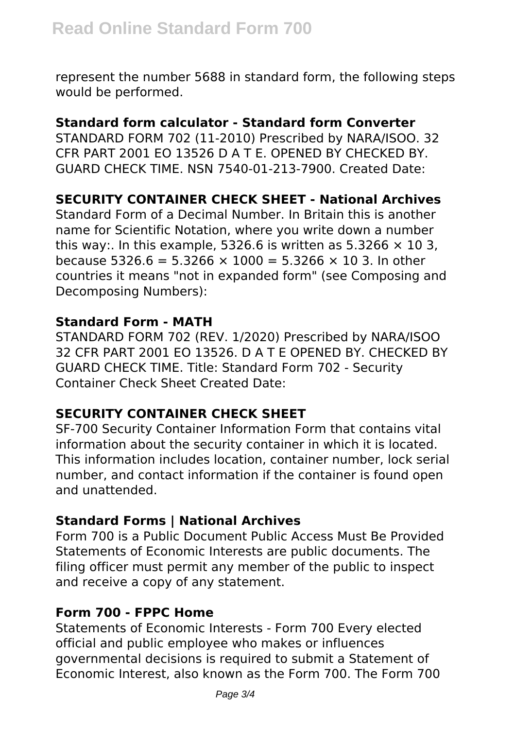represent the number 5688 in standard form, the following steps would be performed.

# **Standard form calculator - Standard form Converter**

STANDARD FORM 702 (11-2010) Prescribed by NARA/ISOO. 32 CFR PART 2001 EO 13526 D A T E. OPENED BY CHECKED BY. GUARD CHECK TIME. NSN 7540-01-213-7900. Created Date:

# **SECURITY CONTAINER CHECK SHEET - National Archives**

Standard Form of a Decimal Number. In Britain this is another name for Scientific Notation, where you write down a number this way:. In this example, 5326.6 is written as 5.3266  $\times$  10 3, because 5326.6 = 5.3266  $\times$  1000 = 5.3266  $\times$  10 3. In other countries it means "not in expanded form" (see Composing and Decomposing Numbers):

## **Standard Form - MATH**

STANDARD FORM 702 (REV. 1/2020) Prescribed by NARA/ISOO 32 CFR PART 2001 EO 13526. D A T E OPENED BY. CHECKED BY GUARD CHECK TIME. Title: Standard Form 702 - Security Container Check Sheet Created Date:

# **SECURITY CONTAINER CHECK SHEET**

SF-700 Security Container Information Form that contains vital information about the security container in which it is located. This information includes location, container number, lock serial number, and contact information if the container is found open and unattended.

# **Standard Forms | National Archives**

Form 700 is a Public Document Public Access Must Be Provided Statements of Economic Interests are public documents. The filing officer must permit any member of the public to inspect and receive a copy of any statement.

## **Form 700 - FPPC Home**

Statements of Economic Interests - Form 700 Every elected official and public employee who makes or influences governmental decisions is required to submit a Statement of Economic Interest, also known as the Form 700. The Form 700